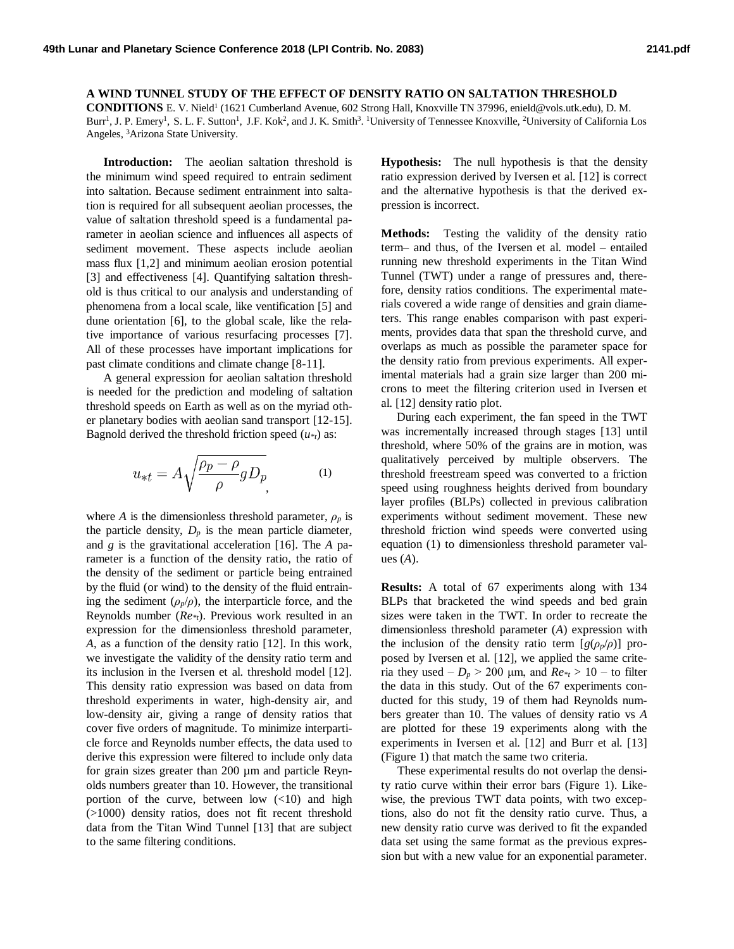**A WIND TUNNEL STUDY OF THE EFFECT OF DENSITY RATIO ON SALTATION THRESHOLD**  CONDITIONS E. V. Nield<sup>1</sup> (1621 Cumberland Avenue, 602 Strong Hall, Knoxville TN 37996, enield@vols.utk.edu), D. M. Burr<sup>1</sup>, J. P. Emery<sup>1</sup>, S. L. F. Sutton<sup>1</sup>, J.F. Kok<sup>2</sup>, and J. K. Smith<sup>3</sup>. <sup>1</sup>University of Tennessee Knoxville, <sup>2</sup>University of California Los Angeles, <sup>3</sup>Arizona State University.

**Introduction:** The aeolian saltation threshold is the minimum wind speed required to entrain sediment into saltation. Because sediment entrainment into saltation is required for all subsequent aeolian processes, the value of saltation threshold speed is a fundamental parameter in aeolian science and influences all aspects of sediment movement. These aspects include aeolian mass flux [1,2] and minimum aeolian erosion potential [3] and effectiveness [4]. Quantifying saltation threshold is thus critical to our analysis and understanding of phenomena from a local scale, like ventification [5] and dune orientation [6], to the global scale, like the relative importance of various resurfacing processes [7]. All of these processes have important implications for past climate conditions and climate change [8-11].

A general expression for aeolian saltation threshold is needed for the prediction and modeling of saltation threshold speeds on Earth as well as on the myriad other planetary bodies with aeolian sand transport [12-15]. Bagnold derived the threshold friction speed  $(u *_{t})$  as:

$$
u_{*t} = A \sqrt{\frac{\rho_p - \rho}{\rho} g D_p}
$$
 (1)

where *A* is the dimensionless threshold parameter,  $\rho_p$  is the particle density,  $D_p$  is the mean particle diameter, and *g* is the gravitational acceleration [16]. The *A* parameter is a function of the density ratio, the ratio of the density of the sediment or particle being entrained by the fluid (or wind) to the density of the fluid entraining the sediment  $(\rho_p/\rho)$ , the interparticle force, and the Reynolds number (*Re\*t*). Previous work resulted in an expression for the dimensionless threshold parameter, *A*, as a function of the density ratio [12]. In this work, we investigate the validity of the density ratio term and its inclusion in the Iversen et al. threshold model [12]. This density ratio expression was based on data from threshold experiments in water, high-density air, and low-density air, giving a range of density ratios that cover five orders of magnitude. To minimize interparticle force and Reynolds number effects, the data used to derive this expression were filtered to include only data for grain sizes greater than 200 µm and particle Reynolds numbers greater than 10. However, the transitional portion of the curve, between low  $\left(\frac{10}{10}\right)$  and high (>1000) density ratios, does not fit recent threshold data from the Titan Wind Tunnel [13] that are subject to the same filtering conditions.

**Hypothesis:** The null hypothesis is that the density ratio expression derived by Iversen et al. [12] is correct and the alternative hypothesis is that the derived expression is incorrect.

**Methods:** Testing the validity of the density ratio term– and thus, of the Iversen et al. model – entailed running new threshold experiments in the Titan Wind Tunnel (TWT) under a range of pressures and, therefore, density ratios conditions. The experimental materials covered a wide range of densities and grain diameters. This range enables comparison with past experiments, provides data that span the threshold curve, and overlaps as much as possible the parameter space for the density ratio from previous experiments. All experimental materials had a grain size larger than 200 microns to meet the filtering criterion used in Iversen et al. [12] density ratio plot.

 During each experiment, the fan speed in the TWT was incrementally increased through stages [13] until threshold, where 50% of the grains are in motion, was qualitatively perceived by multiple observers. The threshold freestream speed was converted to a friction speed using roughness heights derived from boundary layer profiles (BLPs) collected in previous calibration experiments without sediment movement. These new threshold friction wind speeds were converted using equation (1) to dimensionless threshold parameter values (*A*).

**Results:** A total of 67 experiments along with 134 BLPs that bracketed the wind speeds and bed grain sizes were taken in the TWT. In order to recreate the dimensionless threshold parameter (*A*) expression with the inclusion of the density ratio term  $[g(\rho_p/\rho)]$  proposed by Iversen et al. [12], we applied the same criteria they used  $-D_p > 200 \mu m$ , and  $Re_{\tau} > 10 -$  to filter the data in this study. Out of the 67 experiments conducted for this study, 19 of them had Reynolds numbers greater than 10. The values of density ratio vs *A* are plotted for these 19 experiments along with the experiments in Iversen et al. [12] and Burr et al. [13] (Figure 1) that match the same two criteria.

These experimental results do not overlap the density ratio curve within their error bars (Figure 1). Likewise, the previous TWT data points, with two exceptions, also do not fit the density ratio curve. Thus, a new density ratio curve was derived to fit the expanded data set using the same format as the previous expression but with a new value for an exponential parameter.